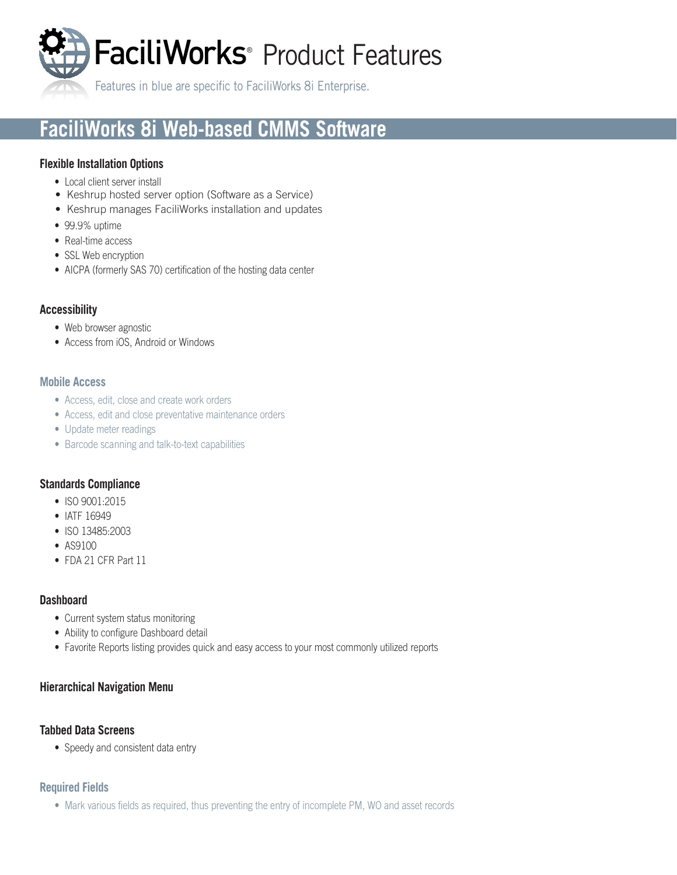FaciliWorks<sup>®</sup> Product Features

Features in blue are specific to FaciliWorks 8i Enterprise.

# **FaciliWorks 8i Web-based CMMS Software**

# **Flexible Installation Options**

- Local client server install
- Keshrup hosted server option (Software as a Service)
- Keshrup manages FaciliWorks installation and updates
- 99.9% uptime
- Real-time access
- SSL Web encryption
- AICPA (formerly SAS 70) certification of the hosting data center

# **Accessibility**

- Web browser agnostic
- Access from iOS, Android or Windows

#### **Mobile Access**

- Access, edit, close and create work orders
- Access, edit and close preventative maintenance orders
- Update meter readings
- Barcode scanning and talk-to-text capabilities

## **Standards Compliance**

- ISO 9001:2015
- IATF 16949
- ISO 13485:2003
- AS9100
- FDA 21 CFR Part 11

## **Dashboard**

- Current system status monitoring
- Ability to configure Dashboard detail
- Favorite Reports listing provides quick and easy access to your most commonly utilized reports

## **Hierarchical Navigation Menu**

## **Tabbed Data Screens**

• Speedy and consistent data entry

## **Required Fields**

• Mark various fields as required, thus preventing the entry of incomplete PM, WO and asset records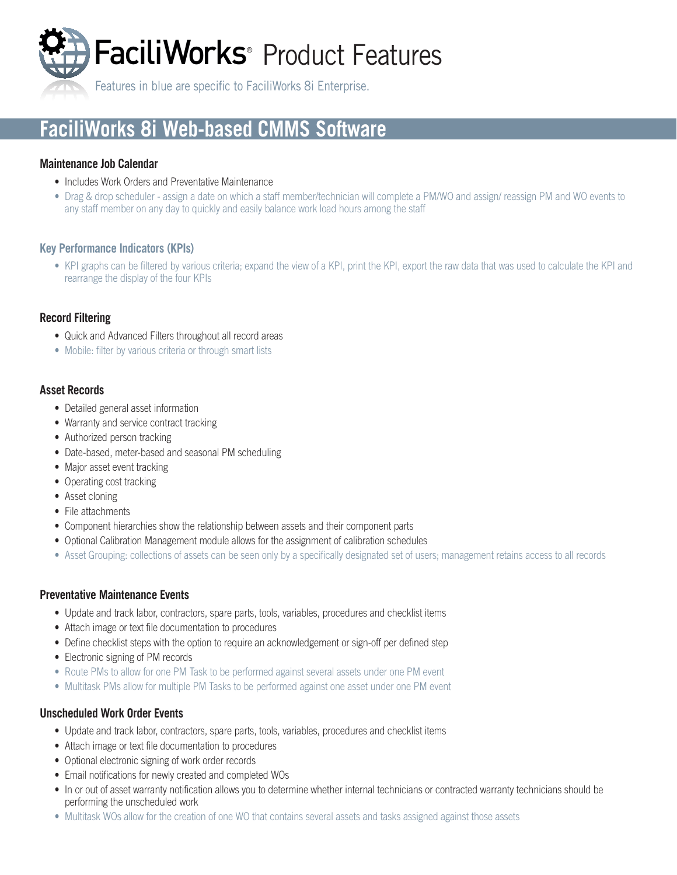

Features in blue are specific to FaciliWorks 8i Enterprise.

# **FaciliWorks 8i Web-based CMMS Software**

### **Maintenance Job Calendar**

- Includes Work Orders and Preventative Maintenance
- Drag & drop scheduler assign a date on which a staff member/technician will complete a PM/WO and assign/ reassign PM and WO events to any staff member on any day to quickly and easily balance work load hours among the staff

#### **Key Performance Indicators (KPIs)**

• KPI graphs can be filtered by various criteria; expand the view of a KPI, print the KPI, export the raw data that was used to calculate the KPI and rearrange the display of the four KPIs

# **Record Filtering**

- Quick and Advanced Filters throughout all record areas
- Mobile: filter by various criteria or through smart lists

## **Asset Records**

- Detailed general asset information
- Warranty and service contract tracking
- Authorized person tracking
- Date-based, meter-based and seasonal PM scheduling
- Major asset event tracking
- Operating cost tracking
- Asset cloning
- File attachments
- Component hierarchies show the relationship between assets and their component parts
- Optional Calibration Management module allows for the assignment of calibration schedules
- Asset Grouping: collections of assets can be seen only by a specifically designated set of users; management retains access to all records

#### **Preventative Maintenance Events**

- Update and track labor, contractors, spare parts, tools, variables, procedures and checklist items
- Attach image or text file documentation to procedures
- Define checklist steps with the option to require an acknowledgement or sign-off per defined step
- Electronic signing of PM records
- Route PMs to allow for one PM Task to be performed against several assets under one PM event
- Multitask PMs allow for multiple PM Tasks to be performed against one asset under one PM event

## **Unscheduled Work Order Events**

- Update and track labor, contractors, spare parts, tools, variables, procedures and checklist items
- Attach image or text file documentation to procedures
- Optional electronic signing of work order records
- Email notifications for newly created and completed WOs
- In or out of asset warranty notification allows you to determine whether internal technicians or contracted warranty technicians should be performing the unscheduled work
- Multitask WOs allow for the creation of one WO that contains several assets and tasks assigned against those assets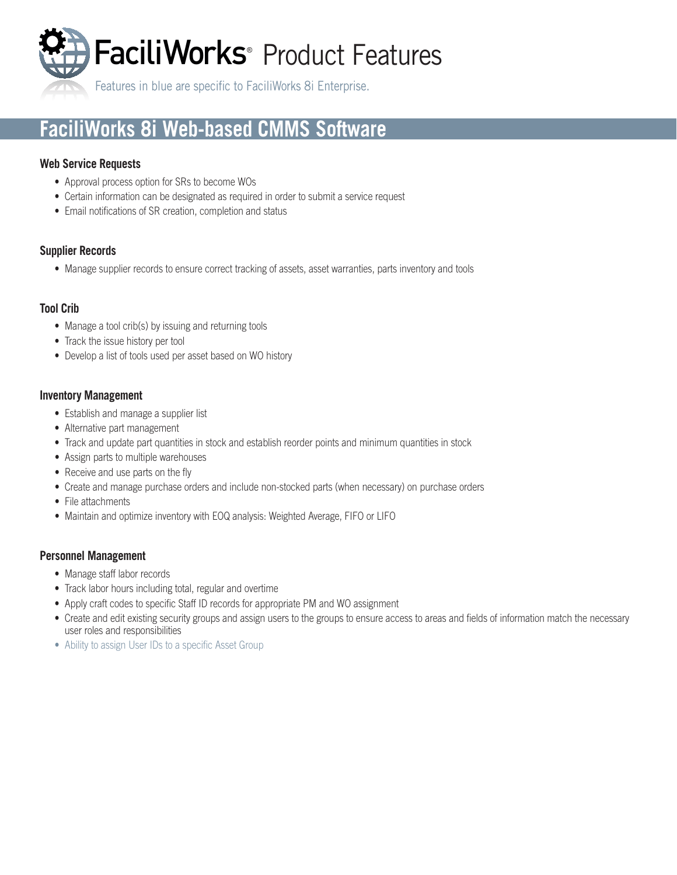FaciliWorks<sup>®</sup> Product Features

Features in blue are specific to FaciliWorks 8i Enterprise.

# **FaciliWorks 8i Web-based CMMS Software**

# **Web Service Requests**

- Approval process option for SRs to become WOs
- Certain information can be designated as required in order to submit a service request
- Email notifications of SR creation, completion and status

# **Supplier Records**

• Manage supplier records to ensure correct tracking of assets, asset warranties, parts inventory and tools

# **Tool Crib**

- Manage a tool crib(s) by issuing and returning tools
- Track the issue history per tool
- Develop a list of tools used per asset based on WO history

# **Inventory Management**

- Establish and manage a supplier list
- Alternative part management
- Track and update part quantities in stock and establish reorder points and minimum quantities in stock
- Assign parts to multiple warehouses
- Receive and use parts on the fly
- Create and manage purchase orders and include non-stocked parts (when necessary) on purchase orders
- File attachments
- Maintain and optimize inventory with EOQ analysis: Weighted Average, FIFO or LIFO

# **Personnel Management**

- Manage staff labor records
- Track labor hours including total, regular and overtime
- Apply craft codes to specific Staff ID records for appropriate PM and WO assignment
- Create and edit existing security groups and assign users to the groups to ensure access to areas and fields of information match the necessary user roles and responsibilities
- Ability to assign User IDs to a specific Asset Group